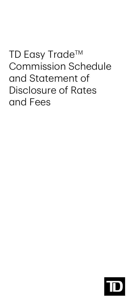## TD Easy Trade™ Commission Schedule and Statement of Disclosure of Rates and Fees

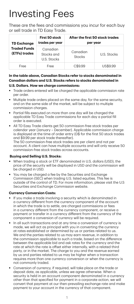# Investing Fees

These are the fees and commissions you incur for each buy or sell trade in TD Easy Trade.

| <b>TD Exchange</b><br><b>Traded Funds</b><br>(ETFs) trades | First 50 stock<br>trades per year     | After the first 50 stock trades<br>per year |             |
|------------------------------------------------------------|---------------------------------------|---------------------------------------------|-------------|
|                                                            | Canadian<br>Stocks and<br>U.S. Stocks | Canadian<br>Stocks                          | U.S. Stocks |
| Free                                                       | Free                                  | C\$9.99                                     | US\$9.99    |

**In the table above, Canadian Stocks refer to stocks denominated in Canadian dollars and U.S. Stocks refers to stocks denominated in U.S. Dollars. How we charge commissions:** 

- Trade orders entered will be charged the applicable commission rate per order.
- Multiple trade orders placed on the same day, for the same security, and on the same side of the market, will be subject to multiple commission charges.
- Partial fills executed on more than one day will be charged the applicable TD Easy Trade commissions for each day a partial fill order is executed.
- All TD Easy Trade clients get 50 commission-free stock trades per calendar year (January – December). Applicable commission charge is displayed at the time of order entry (0\$ for the first 50 stock trades and \$9.99 per stock trade thereafter). The 50 commission-free stock trades are per client and not per account. A client can have multiple accounts and will only receive 50

commission-free stock trades across accounts.

#### **Buying and Selling U.S. Stocks:**

- When trading a stock or ETF denominated in U.S. dollars (USD), the price of the security will be displayed in USD and the commission will be charged in USD.
- You may be charged a fee by the Securities and Exchange Commission (SEC) when trading U.S. listed equities. This fee is outside of the control of TD. For more information, please visit the U.S Securities and Exchange Commission website.

#### **Currency Conversion Costs:**

- If you make a trade involving a security which is denominated in a currency different from the currency component of the account in which the trade is to settle, are charged commissions or fees in a currency different from the currency component, or receive a payment or transfer in a currency different from the currency of the component a conversion of currency will be required.
- In all such transactions and at any time a conversion of currency is made, we will act as principal with you in converting the currency at rates established or determined by us or parties related to us. We and the parties related to us may earn revenue, in addition to the commission applicable to such a trade, based on the difference between the applicable bid and ask rates for the currency and the rate at which the rate is offset either internally, with a related third party, or in the market. The charge to you and the revenue earned by us and parties related to us may be higher when a transaction requires more than one currency conversion or when the currency is not commonly traded.
- Conversion of currency, if required, will take place on the trade or deposit date, as applicable, unless we agree otherwise. When a security is held in an account component denominated in a currency other than that specified for payment in a corporate action, we will convert that payment at our then-prevailing exchange rate and make payment to your account in the currency of that component.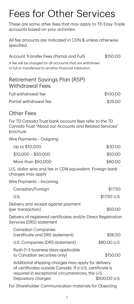# Fees for Other Services

These are some other fees that may apply to TD Easy Trade accounts based on your activities.

All fee amounts are indicated in CDN \$ unless otherwise specified.

Account Transfer Fees (Partial and Full) \$150.00

A fee will be charged for all accounts that are withdrawn in full or transferred to another financial institution.

| Retirement Savings Plan (RSP)<br><b>Withdrawal Fees</b>                                                                                                           |               |  |  |  |
|-------------------------------------------------------------------------------------------------------------------------------------------------------------------|---------------|--|--|--|
| Full withdrawal fee                                                                                                                                               | \$100.00      |  |  |  |
| Partial withdrawal fee                                                                                                                                            | \$25.00       |  |  |  |
| <b>Other Fees</b>                                                                                                                                                 |               |  |  |  |
| For TD Canada Trust bank account fees refer to the TD<br>Canada Trust "About our Accounts and Related Services"<br>brochure                                       |               |  |  |  |
| Wire Payments - Outgoing                                                                                                                                          |               |  |  |  |
| Up to \$10,000                                                                                                                                                    | \$30.00       |  |  |  |
| $$10,000 - $50,000$                                                                                                                                               | \$50.00       |  |  |  |
| More than \$50,000                                                                                                                                                | \$80.00       |  |  |  |
| U.S. dollar wire and fee in CDN equivalent. Foreign bank<br>charges may apply                                                                                     |               |  |  |  |
| Wire Payments - Incoming                                                                                                                                          |               |  |  |  |
| Canadian/Foreign                                                                                                                                                  | \$17.50       |  |  |  |
| U.S.                                                                                                                                                              | \$17.50 U.S.  |  |  |  |
| Delivery and receipt against payment<br>(per transaction)                                                                                                         | \$50.00       |  |  |  |
| Delivery of registered certificates and/or Direct Registration<br>Services (DRS) statement                                                                        |               |  |  |  |
| <b>Canadian Companies</b><br>(certificate and DRS statement)                                                                                                      | \$56.50       |  |  |  |
| U.S. Companies (DRS statement)                                                                                                                                    | \$80.00 U.S.  |  |  |  |
| Rush (1-3 business days-applicable<br>to Canadian securities only)                                                                                                | \$150.00      |  |  |  |
| Additional shipping charges may apply for delivery<br>of certificates outside Canada. If a U.S. certificate is<br>required in exceptional circumstances, the U.S. |               |  |  |  |
| Depository charges                                                                                                                                                | \$500.00 U.S. |  |  |  |

For Shareholder Communication materials for Objecting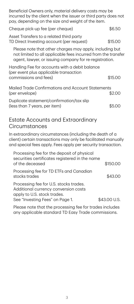Beneficial Owners only, material delivery costs may be incurred by the client when the issuer or third party does not pay, depending on the size and weight of the item.

| Cheque pick-up fee (per cheque)                                                                                                                                                    | \$6.50  |  |
|------------------------------------------------------------------------------------------------------------------------------------------------------------------------------------|---------|--|
| Asset Transfers to a related third party<br>TD Direct Investing account (per request)                                                                                              | \$15.00 |  |
| Please note that other charges may apply, including but<br>not limited to all applicable fees incurred from the transfer<br>agent, lawyer, or issuing company for re-registration. |         |  |
| Handling Fee for accounts with a debit balance<br>(per event plus applicable transaction<br>commissions and fees)                                                                  | \$15    |  |

| Mailed Trade Confirmations and Account Statements |        |
|---------------------------------------------------|--------|
| (per envelope)                                    | \$2.00 |
| Duplicate statement/confirmation/tax slip         |        |
| (less than 7 years, per item)                     | \$5.00 |

#### Estate Accounts and Extraordinary **Circumstances**

In extraordinary circumstances (including the death of a client) certain transactions may only be facilitated manually and special fees apply. Fees apply per security transaction.

| Processing fee for the deposit of physical<br>securities certificates registered in the name<br>of the deceased                                  | \$150.00     |
|--------------------------------------------------------------------------------------------------------------------------------------------------|--------------|
| Processing fee for TD ETFs and Canadian<br>stocks trades                                                                                         | \$43.00      |
| Processing fee for U.S. stocks trades.<br>Additional currency conversion costs<br>apply to U.S. stock trades.<br>See "Investing Fees" on Page 1. | \$43.00 U.S. |

Please note that the processing fee for trades includes any applicable standard TD Easy Trade commissions.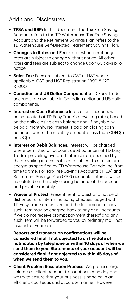### Additional Disclosures

- **TFSA and RSP:** In this document, the Tax-Free Savings Account refers to the TD Waterhouse Tax-Free Savings Account and the Retirement Savings Plan refers to the TD Waterhouse Self-Directed Retirement Savings Plan.
- **Changes to Rates and Fees: Interest and exchange** rates are subject to change without notice. All other rates and fees are subject to change upon 60 days prior notice.
- **Sales Tax:** Fees are subject to GST or HST where applicable. GST and HST Registration #899181127 RT0001.
- **Canadian and US Dollar Components:** TD Easy Trade accounts are available in Canadian dollar and US dollar components.
- **Interest on Cash Balances:** Interest on accounts will be calculated at TD Easy Trade's prevailing rates, based on the daily closing cash balance and, if payable, will be paid monthly. No interest is paid on closing cash balances where the monthly amount is less than CDN \$5 or US \$5.
- **Interest on Debit Balances:** Interest will be charged where permitted on account debit balances at TD Easy Trade's prevailing overdraft interest rate, specified by the prevailing interest rates and subject to a minimum charge as specified by TD Waterhouse Canada Inc. from time to time. For Tax-Free Savings Accounts (TFSA) and Retirement Savings Plan (RSP) accounts, interest will be calculated on the daily closing balance of the account and payable monthly.
- **Waiver of Protest:** Presentment, protest and notice of dishonour of all items including cheques lodged with TD Easy Trade are waived and the full amount of any such item may be charged back to any or all accounts if we do not receive prompt payment thereof and any such item will be forwarded to you by ordinary mail, not insured, at your risk.

**Reports and transaction confirmations will be considered final if not objected to on the date of notification by telephone or within 10 days of when we send them to you. Statements of your account will be considered final if not objected to within 45 days of when we send them to you.**

 **Client Problem Resolution Process:** We process large volumes of client account transactions each day and we try to ensure that your business is handled in an efficient, courteous and accurate manner. However,